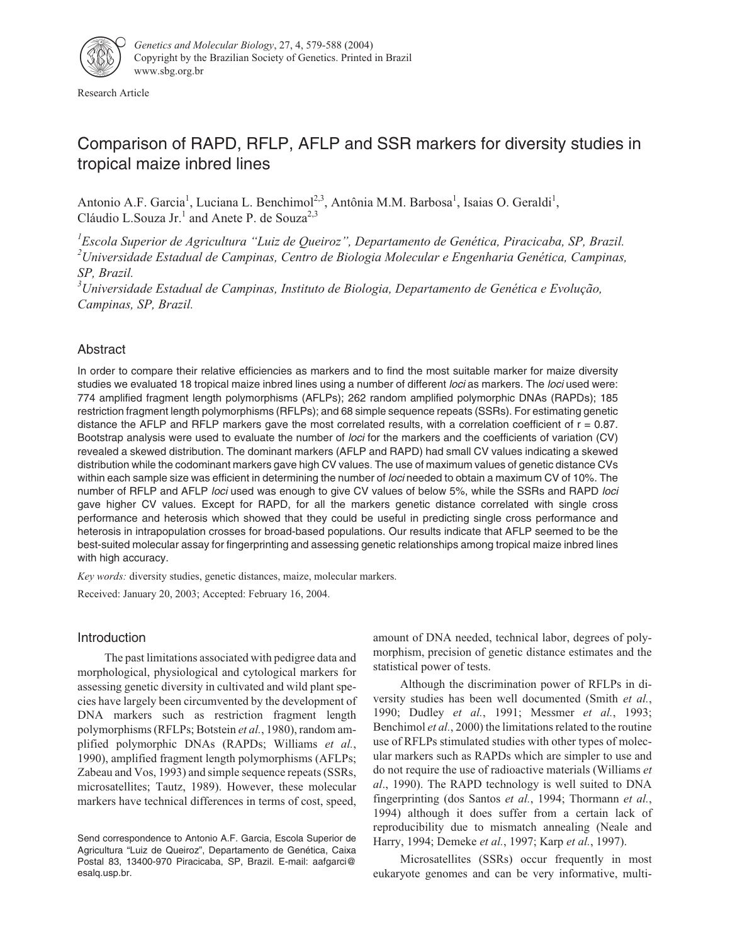

Research Article

# Comparison of RAPD, RFLP, AFLP and SSR markers for diversity studies in tropical maize inbred lines

Antonio A.F. Garcia<sup>1</sup>, Luciana L. Benchimol<sup>2,3</sup>, Antônia M.M. Barbosa<sup>1</sup>, Isaias O. Geraldi<sup>1</sup>, Cláudio L.Souza Jr.<sup>1</sup> and Anete P. de Souza<sup>2,3</sup>

*1 Escola Superior de Agricultura "Luiz de Queiroz", Departamento de Genética, Piracicaba, SP, Brazil. 2 Universidade Estadual de Campinas, Centro de Biologia Molecular e Engenharia Genética, Campinas, SP, Brazil.*

*3 Universidade Estadual de Campinas, Instituto de Biologia, Departamento de Genética e Evolução, Campinas, SP, Brazil.*

# Abstract

In order to compare their relative efficiencies as markers and to find the most suitable marker for maize diversity studies we evaluated 18 tropical maize inbred lines using a number of different loci as markers. The loci used were: 774 amplified fragment length polymorphisms (AFLPs); 262 random amplified polymorphic DNAs (RAPDs); 185 restriction fragment length polymorphisms (RFLPs); and 68 simple sequence repeats (SSRs). For estimating genetic distance the AFLP and RFLP markers gave the most correlated results, with a correlation coefficient of  $r = 0.87$ . Bootstrap analysis were used to evaluate the number of loci for the markers and the coefficients of variation (CV) revealed a skewed distribution. The dominant markers (AFLP and RAPD) had small CV values indicating a skewed distribution while the codominant markers gave high CV values. The use of maximum values of genetic distance CVs within each sample size was efficient in determining the number of loci needed to obtain a maximum CV of 10%. The number of RFLP and AFLP loci used was enough to give CV values of below 5%, while the SSRs and RAPD loci gave higher CV values. Except for RAPD, for all the markers genetic distance correlated with single cross performance and heterosis which showed that they could be useful in predicting single cross performance and heterosis in intrapopulation crosses for broad-based populations. Our results indicate that AFLP seemed to be the best-suited molecular assay for fingerprinting and assessing genetic relationships among tropical maize inbred lines with high accuracy.

*Key words:* diversity studies, genetic distances, maize, molecular markers. Received: January 20, 2003; Accepted: February 16, 2004.

# Introduction

The past limitations associated with pedigree data and morphological, physiological and cytological markers for assessing genetic diversity in cultivated and wild plant species have largely been circumvented by the development of DNA markers such as restriction fragment length polymorphisms (RFLPs; Botstein *et al.*, 1980), random amplified polymorphic DNAs (RAPDs; Williams *et al.*, 1990), amplified fragment length polymorphisms (AFLPs; Zabeau and Vos, 1993) and simple sequence repeats (SSRs, microsatellites; Tautz, 1989). However, these molecular markers have technical differences in terms of cost, speed, amount of DNA needed, technical labor, degrees of polymorphism, precision of genetic distance estimates and the statistical power of tests.

Although the discrimination power of RFLPs in diversity studies has been well documented (Smith *et al.*, 1990; Dudley *et al.*, 1991; Messmer *et al.*, 1993; Benchimol *et al.*, 2000) the limitations related to the routine use of RFLPs stimulated studies with other types of molecular markers such as RAPDs which are simpler to use and do not require the use of radioactive materials (Williams *et al*., 1990). The RAPD technology is well suited to DNA fingerprinting (dos Santos *et al.*, 1994; Thormann *et al.*, 1994) although it does suffer from a certain lack of reproducibility due to mismatch annealing (Neale and Harry, 1994; Demeke *et al.*, 1997; Karp *et al.*, 1997).

Microsatellites (SSRs) occur frequently in most eukaryote genomes and can be very informative, multi-

Send correspondence to Antonio A.F. Garcia, Escola Superior de Agricultura "Luiz de Queiroz", Departamento de Genética, Caixa Postal 83, 13400-970 Piracicaba, SP, Brazil. E-mail: aafgarci@ esalq.usp.br.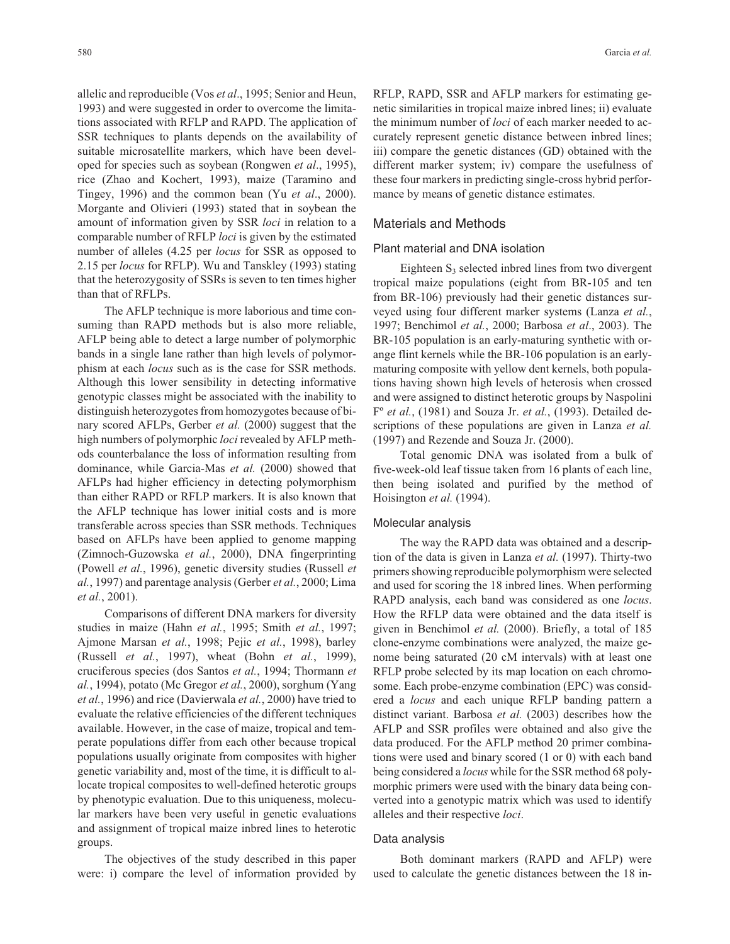allelic and reproducible (Vos *et al*., 1995; Senior and Heun, 1993) and were suggested in order to overcome the limitations associated with RFLP and RAPD. The application of SSR techniques to plants depends on the availability of suitable microsatellite markers, which have been developed for species such as soybean (Rongwen *et al*., 1995), rice (Zhao and Kochert, 1993), maize (Taramino and Tingey, 1996) and the common bean (Yu *et al*., 2000). Morgante and Olivieri (1993) stated that in soybean the amount of information given by SSR *loci* in relation to a comparable number of RFLP *loci* is given by the estimated number of alleles (4.25 per *locus* for SSR as opposed to 2.15 per *locus* for RFLP). Wu and Tanskley (1993) stating that the heterozygosity of SSRs is seven to ten times higher than that of RFLPs.

The AFLP technique is more laborious and time consuming than RAPD methods but is also more reliable, AFLP being able to detect a large number of polymorphic bands in a single lane rather than high levels of polymorphism at each *locus* such as is the case for SSR methods. Although this lower sensibility in detecting informative genotypic classes might be associated with the inability to distinguish heterozygotes from homozygotes because of binary scored AFLPs, Gerber *et al.* (2000) suggest that the high numbers of polymorphic *loci* revealed by AFLP methods counterbalance the loss of information resulting from dominance, while Garcia-Mas *et al.* (2000) showed that AFLPs had higher efficiency in detecting polymorphism than either RAPD or RFLP markers. It is also known that the AFLP technique has lower initial costs and is more transferable across species than SSR methods. Techniques based on AFLPs have been applied to genome mapping (Zimnoch-Guzowska *et al.*, 2000), DNA fingerprinting (Powell *et al.*, 1996), genetic diversity studies (Russell *et al.*, 1997) and parentage analysis (Gerber *et al.*, 2000; Lima *et al.*, 2001).

Comparisons of different DNA markers for diversity studies in maize (Hahn *et al.*, 1995; Smith *et al.*, 1997; Ajmone Marsan *et al.*, 1998; Pejic *et al.*, 1998), barley (Russell *et al.*, 1997), wheat (Bohn *et al.*, 1999), cruciferous species (dos Santos *et al.*, 1994; Thormann *et al.*, 1994), potato (Mc Gregor *et al.*, 2000), sorghum (Yang *et al.*, 1996) and rice (Davierwala *et al.*, 2000) have tried to evaluate the relative efficiencies of the different techniques available. However, in the case of maize, tropical and temperate populations differ from each other because tropical populations usually originate from composites with higher genetic variability and, most of the time, it is difficult to allocate tropical composites to well-defined heterotic groups by phenotypic evaluation. Due to this uniqueness, molecular markers have been very useful in genetic evaluations and assignment of tropical maize inbred lines to heterotic groups.

The objectives of the study described in this paper were: i) compare the level of information provided by

RFLP, RAPD, SSR and AFLP markers for estimating genetic similarities in tropical maize inbred lines; ii) evaluate the minimum number of *loci* of each marker needed to accurately represent genetic distance between inbred lines; iii) compare the genetic distances (GD) obtained with the different marker system; iv) compare the usefulness of these four markers in predicting single-cross hybrid performance by means of genetic distance estimates.

## Materials and Methods

#### Plant material and DNA isolation

Eighteen  $S_3$  selected inbred lines from two divergent tropical maize populations (eight from BR-105 and ten from BR-106) previously had their genetic distances surveyed using four different marker systems (Lanza *et al.*, 1997; Benchimol *et al.*, 2000; Barbosa *et al*., 2003). The BR-105 population is an early-maturing synthetic with orange flint kernels while the BR-106 population is an earlymaturing composite with yellow dent kernels, both populations having shown high levels of heterosis when crossed and were assigned to distinct heterotic groups by Naspolini Fº *et al.*, (1981) and Souza Jr. *et al.*, (1993). Detailed descriptions of these populations are given in Lanza *et al.* (1997) and Rezende and Souza Jr. (2000).

Total genomic DNA was isolated from a bulk of five-week-old leaf tissue taken from 16 plants of each line, then being isolated and purified by the method of Hoisington *et al.* (1994).

#### Molecular analysis

The way the RAPD data was obtained and a description of the data is given in Lanza *et al.* (1997). Thirty-two primers showing reproducible polymorphism were selected and used for scoring the 18 inbred lines. When performing RAPD analysis, each band was considered as one *locus*. How the RFLP data were obtained and the data itself is given in Benchimol *et al.* (2000). Briefly, a total of 185 clone-enzyme combinations were analyzed, the maize genome being saturated (20 cM intervals) with at least one RFLP probe selected by its map location on each chromosome. Each probe-enzyme combination (EPC) was considered a *locus* and each unique RFLP banding pattern a distinct variant. Barbosa *et al.* (2003) describes how the AFLP and SSR profiles were obtained and also give the data produced. For the AFLP method 20 primer combinations were used and binary scored (1 or 0) with each band being considered a *locus* while for the SSR method 68 polymorphic primers were used with the binary data being converted into a genotypic matrix which was used to identify alleles and their respective *loci*.

## Data analysis

Both dominant markers (RAPD and AFLP) were used to calculate the genetic distances between the 18 in-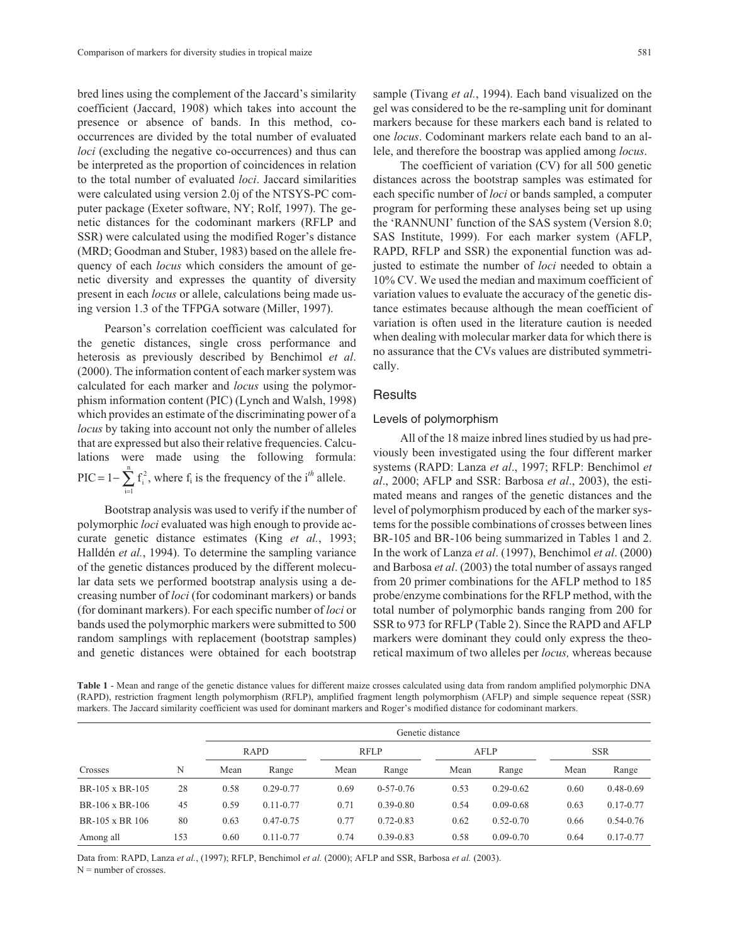bred lines using the complement of the Jaccard's similarity coefficient (Jaccard, 1908) which takes into account the presence or absence of bands. In this method, cooccurrences are divided by the total number of evaluated *loci* (excluding the negative co-occurrences) and thus can be interpreted as the proportion of coincidences in relation to the total number of evaluated *loci*. Jaccard similarities were calculated using version 2.0j of the NTSYS-PC computer package (Exeter software, NY; Rolf, 1997). The genetic distances for the codominant markers (RFLP and SSR) were calculated using the modified Roger's distance (MRD; Goodman and Stuber, 1983) based on the allele frequency of each *locus* which considers the amount of genetic diversity and expresses the quantity of diversity present in each *locus* or allele, calculations being made using version 1.3 of the TFPGA sotware (Miller, 1997).

Pearson's correlation coefficient was calculated for the genetic distances, single cross performance and heterosis as previously described by Benchimol *et al*. (2000). The information content of each marker system was calculated for each marker and *locus* using the polymorphism information content (PIC) (Lynch and Walsh, 1998) which provides an estimate of the discriminating power of a *locus* by taking into account not only the number of alleles that are expressed but also their relative frequencies. Calculations were made using the following formula:  $\text{PIC} = 1 - \sum f_i^2$  $i = 1$  $= 1 - \sum_{n=1}^{n}$  $1-\sum_{i=1} f_i^2$ , where  $f_i$  is the frequency of the i<sup>th</sup> allele.

Bootstrap analysis was used to verify if the number of polymorphic *loci* evaluated was high enough to provide accurate genetic distance estimates (King *et al.*, 1993; Halldén *et al.*, 1994). To determine the sampling variance of the genetic distances produced by the different molecular data sets we performed bootstrap analysis using a decreasing number of *loci* (for codominant markers) or bands (for dominant markers). For each specific number of *loci* or bands used the polymorphic markers were submitted to 500 random samplings with replacement (bootstrap samples) and genetic distances were obtained for each bootstrap

sample (Tivang *et al.*, 1994). Each band visualized on the gel was considered to be the re-sampling unit for dominant markers because for these markers each band is related to one *locus*. Codominant markers relate each band to an allele, and therefore the boostrap was applied among *locus*.

The coefficient of variation (CV) for all 500 genetic distances across the bootstrap samples was estimated for each specific number of *loci* or bands sampled, a computer program for performing these analyses being set up using the 'RANNUNI' function of the SAS system (Version 8.0; SAS Institute, 1999). For each marker system (AFLP, RAPD, RFLP and SSR) the exponential function was adjusted to estimate the number of *loci* needed to obtain a 10% CV. We used the median and maximum coefficient of variation values to evaluate the accuracy of the genetic distance estimates because although the mean coefficient of variation is often used in the literature caution is needed when dealing with molecular marker data for which there is no assurance that the CVs values are distributed symmetrically.

## **Results**

#### Levels of polymorphism

All of the 18 maize inbred lines studied by us had previously been investigated using the four different marker systems (RAPD: Lanza *et al*., 1997; RFLP: Benchimol *et al*., 2000; AFLP and SSR: Barbosa *et al*., 2003), the estimated means and ranges of the genetic distances and the level of polymorphism produced by each of the marker systems for the possible combinations of crosses between lines BR-105 and BR-106 being summarized in Tables 1 and 2. In the work of Lanza *et al*. (1997), Benchimol *et al*. (2000) and Barbosa *et al*. (2003) the total number of assays ranged from 20 primer combinations for the AFLP method to 185 probe/enzyme combinations for the RFLP method, with the total number of polymorphic bands ranging from 200 for SSR to 973 for RFLP (Table 2). Since the RAPD and AFLP markers were dominant they could only express the theoretical maximum of two alleles per *locus,* whereas because

**Table 1** - Mean and range of the genetic distance values for different maize crosses calculated using data from random amplified polymorphic DNA (RAPD), restriction fragment length polymorphism (RFLP), amplified fragment length polymorphism (AFLP) and simple sequence repeat (SSR) markers. The Jaccard similarity coefficient was used for dominant markers and Roger's modified distance for codominant markers.

|                 |     | Genetic distance |               |             |               |      |               |      |               |  |
|-----------------|-----|------------------|---------------|-------------|---------------|------|---------------|------|---------------|--|
|                 |     | <b>RAPD</b>      |               | <b>RFLP</b> |               | AFLP |               |      | <b>SSR</b>    |  |
| Crosses         | N   | Mean             | Range         | Mean        | Range         | Mean | Range         | Mean | Range         |  |
| BR-105 x BR-105 | 28  | 0.58             | $0.29 - 0.77$ | 0.69        | $0-57-0.76$   | 0.53 | $0.29 - 0.62$ | 0.60 | $0.48 - 0.69$ |  |
| BR-106 x BR-106 | 45  | 0.59             | $0.11 - 0.77$ | 0.71        | $0.39 - 0.80$ | 0.54 | $0.09 - 0.68$ | 0.63 | $0.17 - 0.77$ |  |
| BR-105 x BR 106 | 80  | 0.63             | $0.47 - 0.75$ | 0.77        | $0.72 - 0.83$ | 0.62 | $0.52 - 0.70$ | 0.66 | $0.54 - 0.76$ |  |
| Among all       | 153 | 0.60             | $0.11 - 0.77$ | 0.74        | $0.39 - 0.83$ | 0.58 | $0.09 - 0.70$ | 0.64 | $0.17 - 0.77$ |  |

Data from: RAPD, Lanza *et al.*, (1997); RFLP, Benchimol *et al.* (2000); AFLP and SSR, Barbosa *et al.* (2003).  $N =$  number of crosses.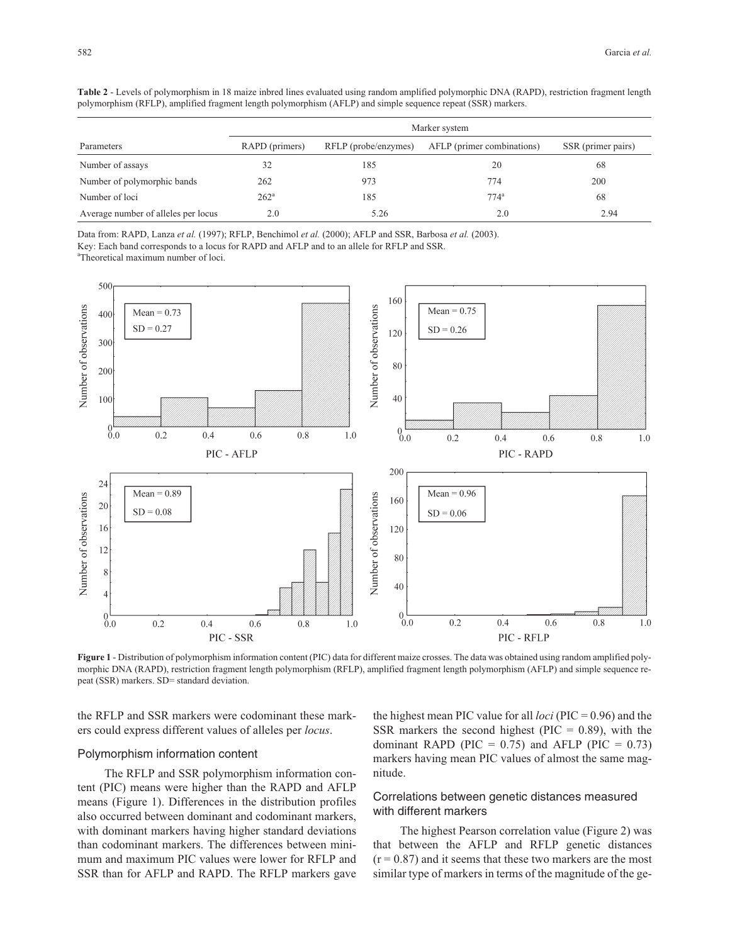|                                     | Marker system  |                      |                            |                    |  |  |  |
|-------------------------------------|----------------|----------------------|----------------------------|--------------------|--|--|--|
| Parameters                          | RAPD (primers) | RFLP (probe/enzymes) | AFLP (primer combinations) | SSR (primer pairs) |  |  |  |
| Number of assays                    | 32             | 185                  | 20                         | 68                 |  |  |  |
| Number of polymorphic bands         | 262            | 973                  | 774                        | 200                |  |  |  |
| Number of loci                      | $262^{\circ}$  | 185                  | $774$ <sup>a</sup>         | 68                 |  |  |  |
| Average number of alleles per locus | 2.0            | 5.26                 | 2.0                        | 2.94               |  |  |  |

**Table 2** - Levels of polymorphism in 18 maize inbred lines evaluated using random amplified polymorphic DNA (RAPD), restriction fragment length polymorphism (RFLP), amplified fragment length polymorphism (AFLP) and simple sequence repeat (SSR) markers.

Data from: RAPD, Lanza *et al.* (1997); RFLP, Benchimol *et al.* (2000); AFLP and SSR, Barbosa *et al.* (2003).

Key: Each band corresponds to a locus for RAPD and AFLP and to an allele for RFLP and SSR.

a Theoretical maximum number of loci.



**Figure 1** - Distribution of polymorphism information content (PIC) data for different maize crosses. The data was obtained using random amplified polymorphic DNA (RAPD), restriction fragment length polymorphism (RFLP), amplified fragment length polymorphism (AFLP) and simple sequence repeat (SSR) markers. SD= standard deviation.

the RFLP and SSR markers were codominant these markers could express different values of alleles per *locus*.

#### Polymorphism information content

The RFLP and SSR polymorphism information content (PIC) means were higher than the RAPD and AFLP means (Figure 1). Differences in the distribution profiles also occurred between dominant and codominant markers, with dominant markers having higher standard deviations than codominant markers. The differences between minimum and maximum PIC values were lower for RFLP and SSR than for AFLP and RAPD. The RFLP markers gave

the highest mean PIC value for all *loci* (PIC = 0.96) and the SSR markers the second highest ( $\text{PIC} = 0.89$ ), with the dominant RAPD (PIC =  $0.75$ ) and AFLP (PIC =  $0.73$ ) markers having mean PIC values of almost the same magnitude.

# Correlations between genetic distances measured with different markers

The highest Pearson correlation value (Figure 2) was that between the AFLP and RFLP genetic distances  $(r = 0.87)$  and it seems that these two markers are the most similar type of markers in terms of the magnitude of the ge-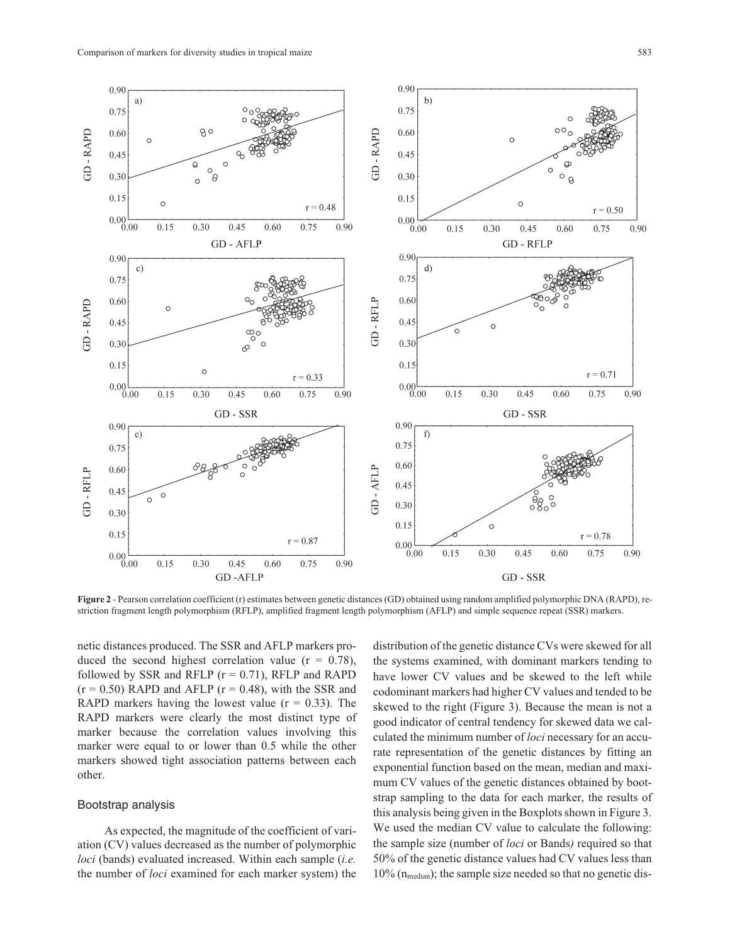

**Figure 2** - Pearson correlation coefficient (r) estimates between genetic distances (GD) obtained using random amplified polymorphic DNA (RAPD), restriction fragment length polymorphism (RFLP), amplified fragment length polymorphism (AFLP) and simple sequence repeat (SSR) markers.

netic distances produced. The SSR and AFLP markers produced the second highest correlation value  $(r = 0.78)$ , followed by SSR and RFLP  $(r = 0.71)$ , RFLP and RAPD  $(r = 0.50)$  RAPD and AFLP  $(r = 0.48)$ , with the SSR and RAPD markers having the lowest value  $(r = 0.33)$ . The RAPD markers were clearly the most distinct type of marker because the correlation values involving this marker were equal to or lower than 0.5 while the other markers showed tight association patterns between each other.

### Bootstrap analysis

As expected, the magnitude of the coefficient of variation (CV) values decreased as the number of polymorphic *loci* (bands) evaluated increased. Within each sample (*i.e.* the number of *loci* examined for each marker system) the

distribution of the genetic distance CVs were skewed for all the systems examined, with dominant markers tending to have lower CV values and be skewed to the left while codominant markers had higher CV values and tended to be skewed to the right (Figure 3). Because the mean is not a good indicator of central tendency for skewed data we calculated the minimum number of *loci* necessary for an accurate representation of the genetic distances by fitting an exponential function based on the mean, median and maximum CV values of the genetic distances obtained by bootstrap sampling to the data for each marker, the results of this analysis being given in the Boxplots shown in Figure 3. We used the median CV value to calculate the following: the sample size (number of *loci* or Bands*)* required so that 50% of the genetic distance values had CV values less than  $10\%$  (n<sub>median</sub>); the sample size needed so that no genetic dis-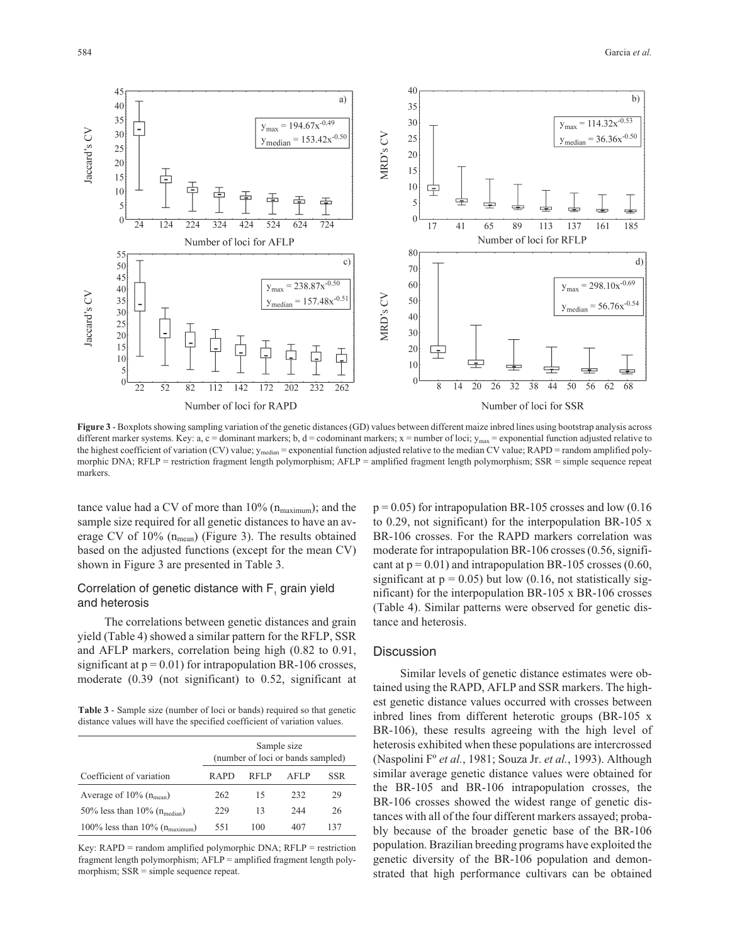

**Figure 3** - Boxplots showing sampling variation of the genetic distances (GD) values between different maize inbred lines using bootstrap analysis across different marker systems. Key: a, c = dominant markers; b, d = codominant markers; x = number of loci;  $y_{\text{max}}$  = exponential function adjusted relative to the highest coefficient of variation (CV) value;  $y_{median} =$  exponential function adjusted relative to the median CV value; RAPD = random amplified polymorphic DNA; RFLP = restriction fragment length polymorphism; AFLP = amplified fragment length polymorphism; SSR = simple sequence repeat markers.

tance value had a CV of more than  $10\%$  ( $n_{\text{maximum}}$ ); and the sample size required for all genetic distances to have an average CV of  $10\%$  (n<sub>mean</sub>) (Figure 3). The results obtained based on the adjusted functions (except for the mean CV) shown in Figure 3 are presented in Table 3.

# Correlation of genetic distance with  $F<sub>1</sub>$  grain yield and heterosis

The correlations between genetic distances and grain yield (Table 4) showed a similar pattern for the RFLP, SSR and AFLP markers, correlation being high (0.82 to 0.91, significant at  $p = 0.01$ ) for intrapopulation BR-106 crosses, moderate (0.39 (not significant) to 0.52, significant at

**Table 3** - Sample size (number of loci or bands) required so that genetic distance values will have the specified coefficient of variation values.

|                                                | Sample size<br>(number of loci or bands sampled) |      |      |     |  |
|------------------------------------------------|--------------------------------------------------|------|------|-----|--|
| Coefficient of variation                       | R A PD                                           | RFLP | AFLP | SSR |  |
| Average of $10\%$ ( $n_{mean}$ )               | 262                                              | 15   | 232  | 29  |  |
| 50% less than $10\%$ ( $n_{\text{median}}$ )   | 229                                              | 13   | 244  | 26  |  |
| 100% less than $10\%$ ( $n_{\text{maximum}}$ ) | 551                                              | 100  | 407  | 137 |  |

Key: RAPD = random amplified polymorphic DNA; RFLP = restriction fragment length polymorphism; AFLP = amplified fragment length polymorphism;  $SSR =$  simple sequence repeat.

 $p = 0.05$ ) for intrapopulation BR-105 crosses and low (0.16) to 0.29, not significant) for the interpopulation BR-105 x BR-106 crosses. For the RAPD markers correlation was moderate for intrapopulation BR-106 crosses (0.56, significant at  $p = 0.01$ ) and intrapopulation BR-105 crosses (0.60, significant at  $p = 0.05$ ) but low (0.16, not statistically significant) for the interpopulation BR-105 x BR-106 crosses (Table 4). Similar patterns were observed for genetic distance and heterosis.

#### **Discussion**

Similar levels of genetic distance estimates were obtained using the RAPD, AFLP and SSR markers. The highest genetic distance values occurred with crosses between inbred lines from different heterotic groups (BR-105 x BR-106), these results agreeing with the high level of heterosis exhibited when these populations are intercrossed (Naspolini Fº *et al.*, 1981; Souza Jr. *et al.*, 1993). Although similar average genetic distance values were obtained for the BR-105 and BR-106 intrapopulation crosses, the BR-106 crosses showed the widest range of genetic distances with all of the four different markers assayed; probably because of the broader genetic base of the BR-106 population. Brazilian breeding programs have exploited the genetic diversity of the BR-106 population and demonstrated that high performance cultivars can be obtained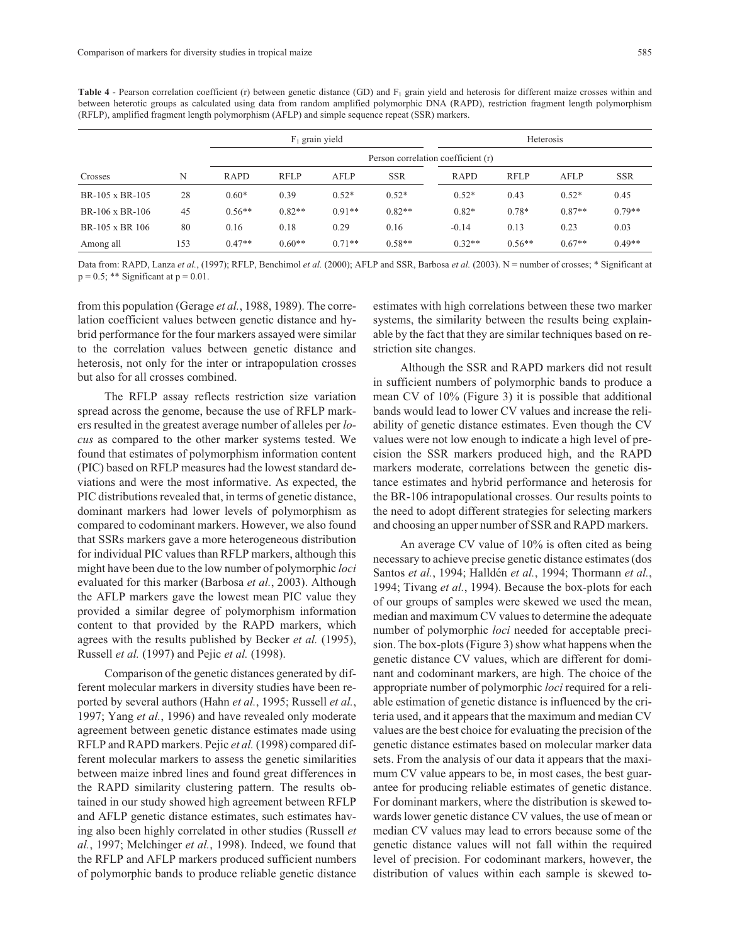| Crosses         |     | $F_1$ grain yield                  |             |          |            | Heterosis   |             |          |            |
|-----------------|-----|------------------------------------|-------------|----------|------------|-------------|-------------|----------|------------|
|                 |     | Person correlation coefficient (r) |             |          |            |             |             |          |            |
|                 | N   | <b>RAPD</b>                        | <b>RFLP</b> | AFLP     | <b>SSR</b> | <b>RAPD</b> | <b>RFLP</b> | AFLP     | <b>SSR</b> |
| BR-105 x BR-105 | 28  | $0.60*$                            | 0.39        | $0.52*$  | $0.52*$    | $0.52*$     | 0.43        | $0.52*$  | 0.45       |
| BR-106 x BR-106 | 45  | $0.56**$                           | $0.82**$    | $0.91**$ | $0.82**$   | $0.82*$     | $0.78*$     | $0.87**$ | $0.79**$   |
| BR-105 x BR 106 | 80  | 0.16                               | 0.18        | 0.29     | 0.16       | $-0.14$     | 0.13        | 0.23     | 0.03       |
| Among all       | 153 | $0.47**$                           | $0.60**$    | $0.71**$ | $0.58**$   | $0.32**$    | $0.56**$    | $0.67**$ | $0.49**$   |

**Table 4** - Pearson correlation coefficient (r) between genetic distance (GD) and F<sub>1</sub> grain yield and heterosis for different maize crosses within and between heterotic groups as calculated using data from random amplified polymorphic DNA (RAPD), restriction fragment length polymorphism (RFLP), amplified fragment length polymorphism (AFLP) and simple sequence repeat (SSR) markers.

Data from: RAPD, Lanza *et al.*, (1997); RFLP, Benchimol *et al.* (2000); AFLP and SSR, Barbosa *et al.* (2003). N = number of crosses; \* Significant at  $p = 0.5$ ; \*\* Significant at  $p = 0.01$ .

from this population (Gerage *et al.*, 1988, 1989). The correlation coefficient values between genetic distance and hybrid performance for the four markers assayed were similar to the correlation values between genetic distance and heterosis, not only for the inter or intrapopulation crosses but also for all crosses combined.

The RFLP assay reflects restriction size variation spread across the genome, because the use of RFLP markers resulted in the greatest average number of alleles per *locus* as compared to the other marker systems tested. We found that estimates of polymorphism information content (PIC) based on RFLP measures had the lowest standard deviations and were the most informative. As expected, the PIC distributions revealed that, in terms of genetic distance, dominant markers had lower levels of polymorphism as compared to codominant markers. However, we also found that SSRs markers gave a more heterogeneous distribution for individual PIC values than RFLP markers, although this might have been due to the low number of polymorphic *loci* evaluated for this marker (Barbosa *et al.*, 2003). Although the AFLP markers gave the lowest mean PIC value they provided a similar degree of polymorphism information content to that provided by the RAPD markers, which agrees with the results published by Becker *et al.* (1995), Russell *et al.* (1997) and Pejic *et al.* (1998).

Comparison of the genetic distances generated by different molecular markers in diversity studies have been reported by several authors (Hahn *et al.*, 1995; Russell *et al.*, 1997; Yang *et al.*, 1996) and have revealed only moderate agreement between genetic distance estimates made using RFLP and RAPD markers. Pejic *et al.* (1998) compared different molecular markers to assess the genetic similarities between maize inbred lines and found great differences in the RAPD similarity clustering pattern. The results obtained in our study showed high agreement between RFLP and AFLP genetic distance estimates, such estimates having also been highly correlated in other studies (Russell *et al.*, 1997; Melchinger *et al.*, 1998). Indeed, we found that the RFLP and AFLP markers produced sufficient numbers of polymorphic bands to produce reliable genetic distance

estimates with high correlations between these two marker systems, the similarity between the results being explainable by the fact that they are similar techniques based on restriction site changes.

Although the SSR and RAPD markers did not result in sufficient numbers of polymorphic bands to produce a mean CV of 10% (Figure 3) it is possible that additional bands would lead to lower CV values and increase the reliability of genetic distance estimates. Even though the CV values were not low enough to indicate a high level of precision the SSR markers produced high, and the RAPD markers moderate, correlations between the genetic distance estimates and hybrid performance and heterosis for the BR-106 intrapopulational crosses. Our results points to the need to adopt different strategies for selecting markers and choosing an upper number of SSR and RAPD markers.

An average CV value of 10% is often cited as being necessary to achieve precise genetic distance estimates (dos Santos *et al.*, 1994; Halldén *et al.*, 1994; Thormann *et al.*, 1994; Tivang *et al.*, 1994). Because the box-plots for each of our groups of samples were skewed we used the mean, median and maximum CV values to determine the adequate number of polymorphic *loci* needed for acceptable precision. The box-plots (Figure 3) show what happens when the genetic distance CV values, which are different for dominant and codominant markers, are high. The choice of the appropriate number of polymorphic *loci* required for a reliable estimation of genetic distance is influenced by the criteria used, and it appears that the maximum and median CV values are the best choice for evaluating the precision of the genetic distance estimates based on molecular marker data sets. From the analysis of our data it appears that the maximum CV value appears to be, in most cases, the best guarantee for producing reliable estimates of genetic distance. For dominant markers, where the distribution is skewed towards lower genetic distance CV values, the use of mean or median CV values may lead to errors because some of the genetic distance values will not fall within the required level of precision. For codominant markers, however, the distribution of values within each sample is skewed to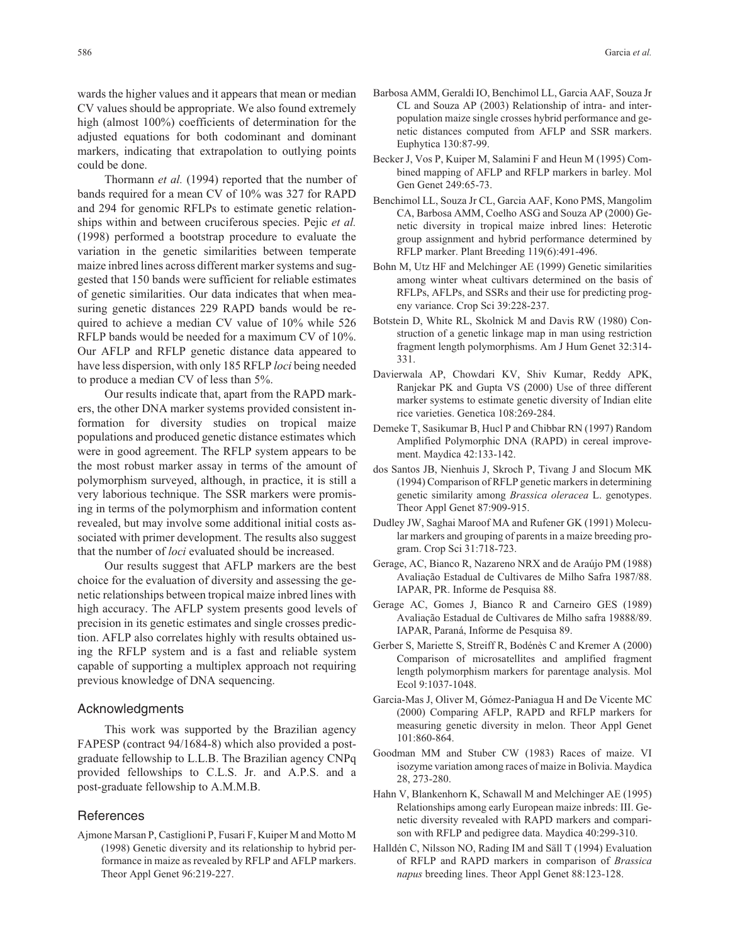wards the higher values and it appears that mean or median CV values should be appropriate. We also found extremely high (almost 100%) coefficients of determination for the adjusted equations for both codominant and dominant markers, indicating that extrapolation to outlying points could be done.

Thormann *et al.* (1994) reported that the number of bands required for a mean CV of 10% was 327 for RAPD and 294 for genomic RFLPs to estimate genetic relationships within and between cruciferous species. Pejic *et al.* (1998) performed a bootstrap procedure to evaluate the variation in the genetic similarities between temperate maize inbred lines across different marker systems and suggested that 150 bands were sufficient for reliable estimates of genetic similarities. Our data indicates that when measuring genetic distances 229 RAPD bands would be required to achieve a median CV value of 10% while 526 RFLP bands would be needed for a maximum CV of 10%. Our AFLP and RFLP genetic distance data appeared to have less dispersion, with only 185 RFLP *loci* being needed to produce a median CV of less than 5%.

Our results indicate that, apart from the RAPD markers, the other DNA marker systems provided consistent information for diversity studies on tropical maize populations and produced genetic distance estimates which were in good agreement. The RFLP system appears to be the most robust marker assay in terms of the amount of polymorphism surveyed, although, in practice, it is still a very laborious technique. The SSR markers were promising in terms of the polymorphism and information content revealed, but may involve some additional initial costs associated with primer development. The results also suggest that the number of *loci* evaluated should be increased.

Our results suggest that AFLP markers are the best choice for the evaluation of diversity and assessing the genetic relationships between tropical maize inbred lines with high accuracy. The AFLP system presents good levels of precision in its genetic estimates and single crosses prediction. AFLP also correlates highly with results obtained using the RFLP system and is a fast and reliable system capable of supporting a multiplex approach not requiring previous knowledge of DNA sequencing.

#### Acknowledgments

This work was supported by the Brazilian agency FAPESP (contract 94/1684-8) which also provided a postgraduate fellowship to L.L.B. The Brazilian agency CNPq provided fellowships to C.L.S. Jr. and A.P.S. and a post-graduate fellowship to A.M.M.B.

## References

Ajmone Marsan P, Castiglioni P, Fusari F, Kuiper M and Motto M (1998) Genetic diversity and its relationship to hybrid performance in maize as revealed by RFLP and AFLP markers. Theor Appl Genet 96:219-227.

- Barbosa AMM, Geraldi IO, Benchimol LL, Garcia AAF, Souza Jr CL and Souza AP (2003) Relationship of intra- and interpopulation maize single crosses hybrid performance and genetic distances computed from AFLP and SSR markers. Euphytica 130:87-99.
- Becker J, Vos P, Kuiper M, Salamini F and Heun M (1995) Combined mapping of AFLP and RFLP markers in barley. Mol Gen Genet 249:65-73.
- Benchimol LL, Souza Jr CL, Garcia AAF, Kono PMS, Mangolim CA, Barbosa AMM, Coelho ASG and Souza AP (2000) Genetic diversity in tropical maize inbred lines: Heterotic group assignment and hybrid performance determined by RFLP marker. Plant Breeding 119(6):491-496.
- Bohn M, Utz HF and Melchinger AE (1999) Genetic similarities among winter wheat cultivars determined on the basis of RFLPs, AFLPs, and SSRs and their use for predicting progeny variance. Crop Sci 39:228-237.
- Botstein D, White RL, Skolnick M and Davis RW (1980) Construction of a genetic linkage map in man using restriction fragment length polymorphisms. Am J Hum Genet 32:314- 331.
- Davierwala AP, Chowdari KV, Shiv Kumar, Reddy APK, Ranjekar PK and Gupta VS (2000) Use of three different marker systems to estimate genetic diversity of Indian elite rice varieties. Genetica 108:269-284.
- Demeke T, Sasikumar B, Hucl P and Chibbar RN (1997) Random Amplified Polymorphic DNA (RAPD) in cereal improvement. Maydica 42:133-142.
- dos Santos JB, Nienhuis J, Skroch P, Tivang J and Slocum MK (1994) Comparison of RFLP genetic markers in determining genetic similarity among *Brassica oleracea* L. genotypes. Theor Appl Genet 87:909-915.
- Dudley JW, Saghai Maroof MA and Rufener GK (1991) Molecular markers and grouping of parents in a maize breeding program. Crop Sci 31:718-723.
- Gerage, AC, Bianco R, Nazareno NRX and de Araújo PM (1988) Avaliação Estadual de Cultivares de Milho Safra 1987/88. IAPAR, PR. Informe de Pesquisa 88.
- Gerage AC, Gomes J, Bianco R and Carneiro GES (1989) Avaliação Estadual de Cultivares de Milho safra 19888/89. IAPAR, Paraná, Informe de Pesquisa 89.
- Gerber S, Mariette S, Streiff R, Bodénès C and Kremer A (2000) Comparison of microsatellites and amplified fragment length polymorphism markers for parentage analysis. Mol Ecol 9:1037-1048.
- Garcia-Mas J, Oliver M, Gómez-Paniagua H and De Vicente MC (2000) Comparing AFLP, RAPD and RFLP markers for measuring genetic diversity in melon. Theor Appl Genet 101:860-864.
- Goodman MM and Stuber CW (1983) Races of maize. VI isozyme variation among races of maize in Bolivia. Maydica 28, 273-280.
- Hahn V, Blankenhorn K, Schawall M and Melchinger AE (1995) Relationships among early European maize inbreds: III. Genetic diversity revealed with RAPD markers and comparison with RFLP and pedigree data. Maydica 40:299-310.
- Halldén C, Nilsson NO, Rading IM and Säll T (1994) Evaluation of RFLP and RAPD markers in comparison of *Brassica napus* breeding lines. Theor Appl Genet 88:123-128.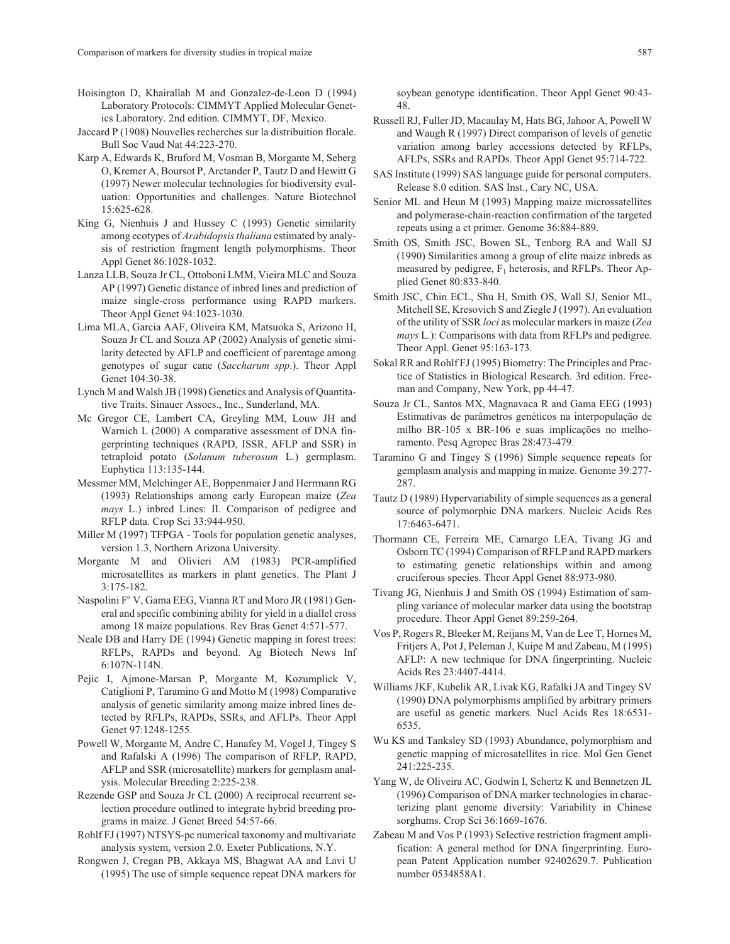- Hoisington D, Khairallah M and Gonzalez-de-Leon D (1994) Laboratory Protocols: CIMMYT Applied Molecular Genetics Laboratory. 2nd edition. CIMMYT, DF, Mexico.
- Jaccard P (1908) Nouvelles recherches sur la distribuition florale. Bull Soc Vaud Nat 44:223-270.
- Karp A, Edwards K, Bruford M, Vosman B, Morgante M, Seberg O, Kremer A, Boursot P, Arctander P, Tautz D and Hewitt G (1997) Newer molecular technologies for biodiversity evaluation: Opportunities and challenges. Nature Biotechnol 15:625-628.
- King G, Nienhuis J and Hussey C (1993) Genetic similarity among ecotypes of *Arabidopsis thaliana* estimated by analysis of restriction fragment length polymorphisms. Theor Appl Genet 86:1028-1032.
- Lanza LLB, Souza Jr CL, Ottoboni LMM, Vieira MLC and Souza AP (1997) Genetic distance of inbred lines and prediction of maize single-cross performance using RAPD markers. Theor Appl Genet 94:1023-1030.
- Lima MLA, Garcia AAF, Oliveira KM, Matsuoka S, Arizono H, Souza Jr CL and Souza AP (2002) Analysis of genetic similarity detected by AFLP and coefficient of parentage among genotypes of sugar cane (*Saccharum spp*.). Theor Appl Genet 104:30-38.
- Lynch M and Walsh JB (1998) Genetics and Analysis of Quantitative Traits. Sinauer Assocs., Inc., Sunderland, MA.
- Mc Gregor CE, Lambert CA, Greyling MM, Louw JH and Warnich L (2000) A comparative assessment of DNA fingerprinting techniques (RAPD, ISSR, AFLP and SSR) in tetraploid potato (*Solanum tuberosum* L.) germplasm. Euphytica 113:135-144.
- Messmer MM, Melchinger AE, Boppenmaier J and Herrmann RG (1993) Relationships among early European maize (*Zea mays* L.) inbred Lines: II. Comparison of pedigree and RFLP data. Crop Sci 33:944-950.
- Miller M (1997) TFPGA Tools for population genetic analyses, version 1.3, Northern Arizona University.
- Morgante M and Olivieri AM (1983) PCR-amplified microsatellites as markers in plant genetics. The Plant J 3:175-182.
- Naspolini  $F^{\circ}$  V, Gama EEG, Vianna RT and Moro JR (1981) General and specific combining ability for yield in a diallel cross among 18 maize populations. Rev Bras Genet 4:571-577.
- Neale DB and Harry DE (1994) Genetic mapping in forest trees: RFLPs, RAPDs and beyond. Ag Biotech News Inf 6:107N-114N.
- Pejic I, Ajmone-Marsan P, Morgante M, Kozumplick V, Catiglioni P, Taramino G and Motto M (1998) Comparative analysis of genetic similarity among maize inbred lines detected by RFLPs, RAPDs, SSRs, and AFLPs. Theor Appl Genet 97:1248-1255.
- Powell W, Morgante M, Andre C, Hanafey M, Vogel J, Tingey S and Rafalski A (1996) The comparison of RFLP, RAPD, AFLP and SSR (microsatellite) markers for gemplasm analysis. Molecular Breeding 2:225-238.
- Rezende GSP and Souza Jr CL (2000) A reciprocal recurrent selection procedure outlined to integrate hybrid breeding programs in maize. J Genet Breed 54:57-66.
- Rohlf FJ (1997) NTSYS-pc numerical taxonomy and multivariate analysis system, version 2.0. Exeter Publications, N.Y.
- Rongwen J, Cregan PB, Akkaya MS, Bhagwat AA and Lavi U (1995) The use of simple sequence repeat DNA markers for

soybean genotype identification. Theor Appl Genet 90:43- 48.

- Russell RJ, Fuller JD, Macaulay M, Hats BG, Jahoor A, Powell W and Waugh R (1997) Direct comparison of levels of genetic variation among barley accessions detected by RFLPs, AFLPs, SSRs and RAPDs. Theor Appl Genet 95:714-722.
- SAS Institute (1999) SAS language guide for personal computers. Release 8.0 edition. SAS Inst., Cary NC, USA.
- Senior ML and Heun M (1993) Mapping maize microssatellites and polymerase-chain-reaction confirmation of the targeted repeats using a ct primer. Genome 36:884-889.
- Smith OS, Smith JSC, Bowen SL, Tenborg RA and Wall SJ (1990) Similarities among a group of elite maize inbreds as measured by pedigree,  $F_1$  heterosis, and RFLPs. Theor Applied Genet 80:833-840.
- Smith JSC, Chin ECL, Shu H, Smith OS, Wall SJ, Senior ML, Mitchell SE, Kresovich S and Ziegle J (1997). An evaluation of the utility of SSR *loci* as molecular markers in maize (*Zea mays* L.): Comparisons with data from RFLPs and pedigree. Theor Appl. Genet 95:163-173.
- Sokal RR and Rohlf FJ (1995) Biometry: The Principles and Practice of Statistics in Biological Research. 3rd edition. Freeman and Company, New York, pp 44-47.
- Souza Jr CL, Santos MX, Magnavaca R and Gama EEG (1993) Estimativas de parâmetros genéticos na interpopulação de milho BR-105 x BR-106 e suas implicações no melhoramento. Pesq Agropec Bras 28:473-479.
- Taramino G and Tingey S (1996) Simple sequence repeats for gemplasm analysis and mapping in maize. Genome 39:277- 287.
- Tautz D (1989) Hypervariability of simple sequences as a general source of polymorphic DNA markers. Nucleic Acids Res 17:6463-6471.
- Thormann CE, Ferreira ME, Camargo LEA, Tivang JG and Osborn TC (1994) Comparison of RFLP and RAPD markers to estimating genetic relationships within and among cruciferous species. Theor Appl Genet 88:973-980.
- Tivang JG, Nienhuis J and Smith OS (1994) Estimation of sampling variance of molecular marker data using the bootstrap procedure. Theor Appl Genet 89:259-264.
- Vos P, Rogers R, Bleeker M, Reijans M, Van de Lee T, Hornes M, Fritjers A, Pot J, Peleman J, Kuipe M and Zabeau, M (1995) AFLP: A new technique for DNA fingerprinting. Nucleic Acids Res 23:4407-4414.
- Williams JKF, Kubelik AR, Livak KG, Rafalki JA and Tingey SV (1990) DNA polymorphisms amplified by arbitrary primers are useful as genetic markers. Nucl Acids Res 18:6531- 6535.
- Wu KS and Tanksley SD (1993) Abundance, polymorphism and genetic mapping of microsatellites in rice. Mol Gen Genet 241:225-235.
- Yang W, de Oliveira AC, Godwin I, Schertz K and Bennetzen JL (1996) Comparison of DNA marker technologies in characterizing plant genome diversity: Variability in Chinese sorghums. Crop Sci 36:1669-1676.
- Zabeau M and Vos P (1993) Selective restriction fragment amplification: A general method for DNA fingerprinting. European Patent Application number 92402629.7. Publication number 0534858A1.